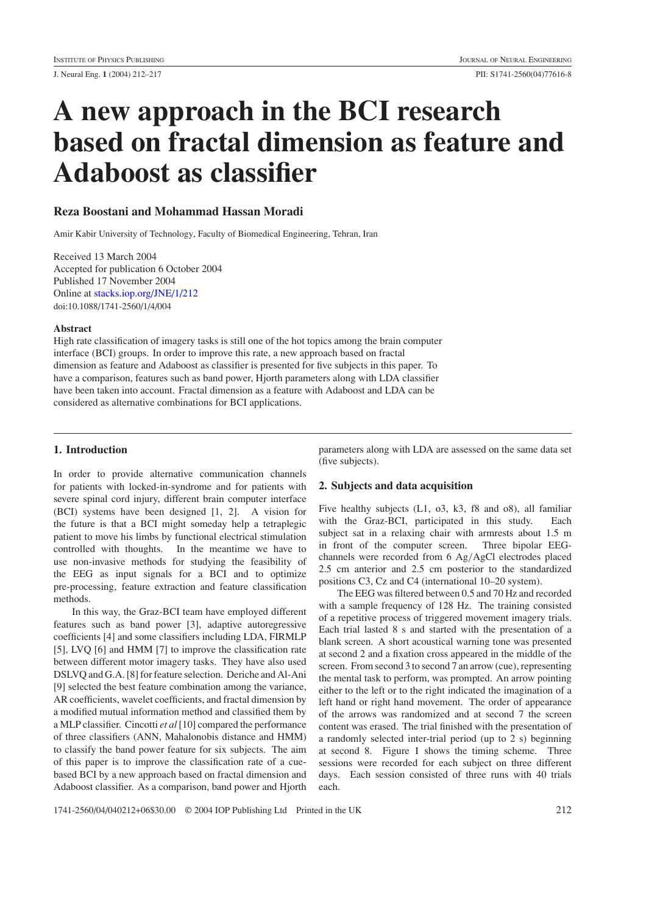# **A new approach in the BCI research based on fractal dimension as feature and Adaboost as classifier**

# **Reza Boostani and Mohammad Hassan Moradi**

Amir Kabir University of Technology, Faculty of Biomedical Engineering, Tehran, Iran

Received 13 March 2004 Accepted for publication 6 October 2004 Published 17 November 2004 Online at [stacks.iop.org/JNE/1/212](http://stacks.iop.org/JNE/1/212) doi:10.1088/1741-2560/1/4/004

## **Abstract**

High rate classification of imagery tasks is still one of the hot topics among the brain computer interface (BCI) groups. In order to improve this rate, a new approach based on fractal dimension as feature and Adaboost as classifier is presented for five subjects in this paper. To have a comparison, features such as band power, Hjorth parameters along with LDA classifier have been taken into account. Fractal dimension as a feature with Adaboost and LDA can be considered as alternative combinations for BCI applications.

## **1. Introduction**

In order to provide alternative communication channels for patients with locked-in-syndrome and for patients with severe spinal cord injury, different brain computer interface (BCI) systems have been designed [1, 2]. A vision for the future is that a BCI might someday help a tetraplegic patient to move his limbs by functional electrical stimulation controlled with thoughts. In the meantime we have to use non-invasive methods for studying the feasibility of the EEG as input signals for a BCI and to optimize pre-processing, feature extraction and feature classification methods.

In this way, the Graz-BCI team have employed different features such as band power [3], adaptive autoregressive coefficients [4] and some classifiers including LDA, FIRMLP [5], LVQ [6] and HMM [7] to improve the classification rate between different motor imagery tasks. They have also used DSLVQ and G.A. [8] for feature selection. Deriche and Al-Ani [9] selected the best feature combination among the variance, AR coefficients, wavelet coefficients, and fractal dimension by a modified mutual information method and classified them by a MLP classifier. Cincotti *et al* [10] compared the performance of three classifiers (ANN, Mahalonobis distance and HMM) to classify the band power feature for six subjects. The aim of this paper is to improve the classification rate of a cuebased BCI by a new approach based on fractal dimension and Adaboost classifier. As a comparison, band power and Hjorth parameters along with LDA are assessed on the same data set (five subjects).

# **2. Subjects and data acquisition**

Five healthy subjects (L1, o3, k3, f8 and o8), all familiar with the Graz-BCI, participated in this study. Each subject sat in a relaxing chair with armrests about 1.5 m in front of the computer screen. Three bipolar EEGchannels were recorded from 6 Ag*/*AgCl electrodes placed 2.5 cm anterior and 2.5 cm posterior to the standardized positions C3, Cz and C4 (international 10–20 system).

The EEG was filtered between 0.5 and 70 Hz and recorded with a sample frequency of 128 Hz. The training consisted of a repetitive process of triggered movement imagery trials. Each trial lasted 8 s and started with the presentation of a blank screen. A short acoustical warning tone was presented at second 2 and a fixation cross appeared in the middle of the screen. From second 3 to second 7 an arrow (cue), representing the mental task to perform, was prompted. An arrow pointing either to the left or to the right indicated the imagination of a left hand or right hand movement. The order of appearance of the arrows was randomized and at second 7 the screen content was erased. The trial finished with the presentation of a randomly selected inter-trial period (up to 2 s) beginning at second 8. Figure [1](#page-1-0) shows the timing scheme. Three sessions were recorded for each subject on three different days. Each session consisted of three runs with 40 trials each.

1741-2560/04/040212+06\$30.00 © 2004 IOP Publishing Ltd Printed in the UK 212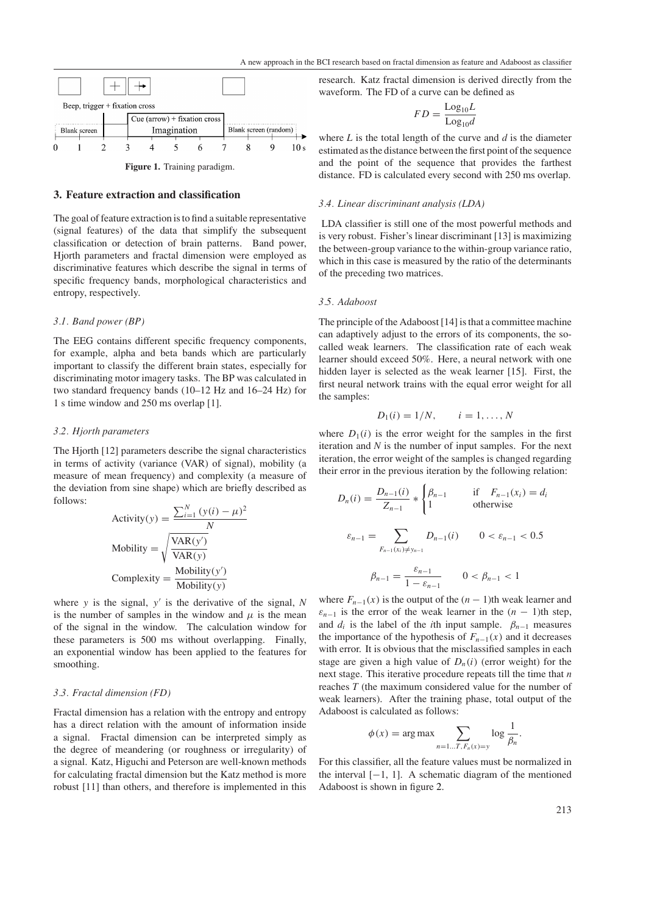

#### <span id="page-1-0"></span>**3. Feature extraction and classification**

The goal of feature extraction is to find a suitable representative (signal features) of the data that simplify the subsequent classification or detection of brain patterns. Band power, Hjorth parameters and fractal dimension were employed as discriminative features which describe the signal in terms of specific frequency bands, morphological characteristics and entropy, respectively.

#### *3.1. Band power (BP)*

The EEG contains different specific frequency components, for example, alpha and beta bands which are particularly important to classify the different brain states, especially for discriminating motor imagery tasks. The BP was calculated in two standard frequency bands (10–12 Hz and 16–24 Hz) for 1 s time window and 250 ms overlap [1].

#### *3.2. Hjorth parameters*

The Hjorth [12] parameters describe the signal characteristics in terms of activity (variance (VAR) of signal), mobility (a measure of mean frequency) and complexity (a measure of the deviation from sine shape) which are briefly described as follows:

Activity(y) = 
$$
\frac{\sum_{i=1}^{N} (y(i) - \mu)^2}{N}
$$
  
\nMobility = 
$$
\sqrt{\frac{VAR(y')}{VAR(y)}}
$$
  
\nComplexity = 
$$
\frac{\text{Mobility}(y')}{\text{Mobility}(y)}
$$

where *y* is the signal, *y* is the derivative of the signal, *N* is the number of samples in the window and  $\mu$  is the mean of the signal in the window. The calculation window for these parameters is 500 ms without overlapping. Finally, an exponential window has been applied to the features for smoothing.

## *3.3. Fractal dimension (FD)*

Fractal dimension has a relation with the entropy and entropy has a direct relation with the amount of information inside a signal. Fractal dimension can be interpreted simply as the degree of meandering (or roughness or irregularity) of a signal. Katz, Higuchi and Peterson are well-known methods for calculating fractal dimension but the Katz method is more robust [11] than others, and therefore is implemented in this

research. Katz fractal dimension is derived directly from the waveform. The FD of a curve can be defined as

$$
FD = \frac{\text{Log}_{10}L}{\text{Log}_{10}d}
$$

where *L* is the total length of the curve and *d* is the diameter estimated as the distance between the first point of the sequence and the point of the sequence that provides the farthest distance. FD is calculated every second with 250 ms overlap.

#### *3.4. Linear discriminant analysis (LDA)*

LDA classifier is still one of the most powerful methods and is very robust. Fisher's linear discriminant [13] is maximizing the between-group variance to the within-group variance ratio, which in this case is measured by the ratio of the determinants of the preceding two matrices.

## *3.5. Adaboost*

The principle of the Adaboost [14] is that a committee machine can adaptively adjust to the errors of its components, the socalled weak learners. The classification rate of each weak learner should exceed 50%. Here, a neural network with one hidden layer is selected as the weak learner [15]. First, the first neural network trains with the equal error weight for all the samples:

$$
D_1(i) = 1/N, \qquad i = 1, \ldots, N
$$

where  $D_1(i)$  is the error weight for the samples in the first iteration and *N* is the number of input samples. For the next iteration, the error weight of the samples is changed regarding their error in the previous iteration by the following relation:

$$
D_n(i) = \frac{D_{n-1}(i)}{Z_{n-1}} * \begin{cases} \beta_{n-1} & \text{if } F_{n-1}(x_i) = d_i \\ 1 & \text{otherwise} \end{cases}
$$
\n
$$
\varepsilon_{n-1} = \sum_{F_{n-1}(x_i) \neq y_{n-1}} D_{n-1}(i) \qquad 0 < \varepsilon_{n-1} < 0.5
$$
\n
$$
\beta_{n-1} = \frac{\varepsilon_{n-1}}{1 - \varepsilon_{n-1}} \qquad 0 < \beta_{n-1} < 1
$$

where  $F_{n-1}(x)$  is the output of the  $(n-1)$ th weak learner and  $\varepsilon_{n-1}$  is the error of the weak learner in the  $(n-1)$ th step, and  $d_i$  is the label of the *i*th input sample.  $\beta_{n-1}$  measures the importance of the hypothesis of  $F_{n-1}(x)$  and it decreases with error. It is obvious that the misclassified samples in each stage are given a high value of  $D_n(i)$  (error weight) for the next stage. This iterative procedure repeats till the time that *n* reaches *T* (the maximum considered value for the number of weak learners). After the training phase, total output of the Adaboost is calculated as follows:

$$
\phi(x) = \arg \max \sum_{n=1...T, F_n(x)=y} \log \frac{1}{\beta_n}.
$$

For this classifier, all the feature values must be normalized in the interval  $[-1, 1]$ . A schematic diagram of the mentioned Adaboost is shown in figure [2.](#page-2-0)

213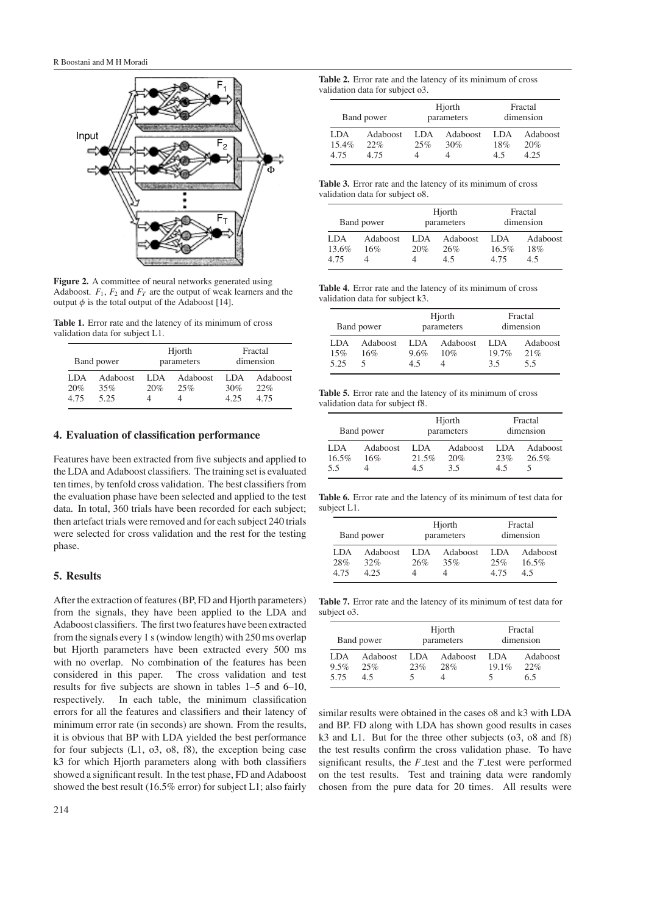

<span id="page-2-0"></span>**Figure 2.** A committee of neural networks generated using Adaboost.  $F_1$ ,  $F_2$  and  $F_T$  are the output of weak learners and the output  $\phi$  is the total output of the Adaboost [14].

<span id="page-2-1"></span>**Table 1.** Error rate and the latency of its minimum of cross validation data for subject L1.

| Band power          |                         | Hjorth<br>parameters |                 | Fractal<br>dimension |                         |
|---------------------|-------------------------|----------------------|-----------------|----------------------|-------------------------|
| LDA.<br>20%<br>4.75 | Adaboost<br>35%<br>5.25 | LDA<br>20%           | Adaboost<br>25% | LDA<br>30%<br>4.25   | Adaboost<br>22%<br>4.75 |

## **4. Evaluation of classification performance**

Features have been extracted from five subjects and applied to the LDA and Adaboost classifiers. The training set is evaluated ten times, by tenfold cross validation. The best classifiers from the evaluation phase have been selected and applied to the test data. In total, 360 trials have been recorded for each subject; then artefact trials were removed and for each subject 240 trials were selected for cross validation and the rest for the testing phase.

# **5. Results**

After the extraction of features (BP, FD and Hjorth parameters) from the signals, they have been applied to the LDA and Adaboost classifiers. The first two features have been extracted from the signals every 1 s (window length) with 250 ms overlap but Hjorth parameters have been extracted every 500 ms with no overlap. No combination of the features has been considered in this paper. The cross validation and test results for five subjects are shown in tables [1](#page-2-1)[–5](#page-2-2) and [6](#page-2-3)[–10,](#page-3-0) respectively. In each table, the minimum classification errors for all the features and classifiers and their latency of minimum error rate (in seconds) are shown. From the results, it is obvious that BP with LDA yielded the best performance for four subjects (L1, o3, o8, f8), the exception being case k3 for which Hjorth parameters along with both classifiers showed a significant result. In the test phase, FD and Adaboost showed the best result (16.5% error) for subject L1; also fairly

| <b>Table 2.</b> Error rate and the latency of its minimum of cross |  |
|--------------------------------------------------------------------|--|
| validation data for subject o3.                                    |  |

| Band power           |                         | Hjorth<br>parameters |                        | Fractal<br>dimension |                         |
|----------------------|-------------------------|----------------------|------------------------|----------------------|-------------------------|
| LDA<br>15.4%<br>4.75 | Adaboost<br>22%<br>4.75 | LDA<br>25%           | <b>Adaboost</b><br>30% | LDA.<br>18%<br>45    | Adaboost<br>20%<br>4.25 |

**Table 3.** Error rate and the latency of its minimum of cross validation data for subject o8.

| Band power            |                        | Hjorth<br>parameters |                       | Fractal<br>dimension     |                        |
|-----------------------|------------------------|----------------------|-----------------------|--------------------------|------------------------|
| LDA.<br>13.6%<br>4.75 | <b>Adaboost</b><br>16% | LDA.<br>20%          | Adaboost<br>26%<br>45 | LDA.<br>$16.5\%$<br>4.75 | Adaboost<br>18%<br>4.5 |

**Table 4.** Error rate and the latency of its minimum of cross validation data for subject k3.

| Band power |                 | Hjorth<br>parameters |                 | Fractal<br>dimension |                 |
|------------|-----------------|----------------------|-----------------|----------------------|-----------------|
| LDA<br>15% | Adaboost<br>16% | LDA.<br>9.6%         | Adaboost<br>10% | LDA.<br>$19.7\%$     | Adaboost<br>21% |
| 5.25       |                 | 4.5                  |                 | 3.5                  | 5.5             |

<span id="page-2-2"></span>**Table 5.** Error rate and the latency of its minimum of cross validation data for subject f8.

| Band power           |                 | Hjorth<br>parameters |                        | Fractal<br>dimension |                   |
|----------------------|-----------------|----------------------|------------------------|----------------------|-------------------|
| LDA.<br>16.5%<br>5.5 | Adaboost<br>16% | LDA.<br>21.5%<br>45  | Adaboost<br>20%<br>3.5 | LDA.<br>23%<br>45    | Adaboost<br>26.5% |

<span id="page-2-3"></span>**Table 6.** Error rate and the latency of its minimum of test data for subject L1.

| Band power          |                         | Hjorth<br>parameters |                 | Fractal<br>dimension |                             |
|---------------------|-------------------------|----------------------|-----------------|----------------------|-----------------------------|
| LDA.<br>28%<br>4.75 | Adaboost<br>32%<br>4.25 | LDA.<br>26%          | Adaboost<br>35% | LDA.<br>25%<br>4.75  | Adaboost<br>$16.5\%$<br>4.5 |

**Table 7.** Error rate and the latency of its minimum of test data for subject o3.

| Band power           |                        | Hjorth<br>parameters |                 | Fractal<br>dimension |                        |
|----------------------|------------------------|----------------------|-----------------|----------------------|------------------------|
| LDA.<br>9.5%<br>5.75 | Adaboost<br>25%<br>4.5 | LDA<br>23%           | Adaboost<br>28% | LDA.<br>19.1%        | Adaboost<br>22%<br>6.5 |

similar results were obtained in the cases o8 and k3 with LDA and BP. FD along with LDA has shown good results in cases k3 and L1. But for the three other subjects (o3, o8 and f8) the test results confirm the cross validation phase. To have significant results, the  $F$  test and the  $T$  test were performed on the test results. Test and training data were randomly chosen from the pure data for 20 times. All results were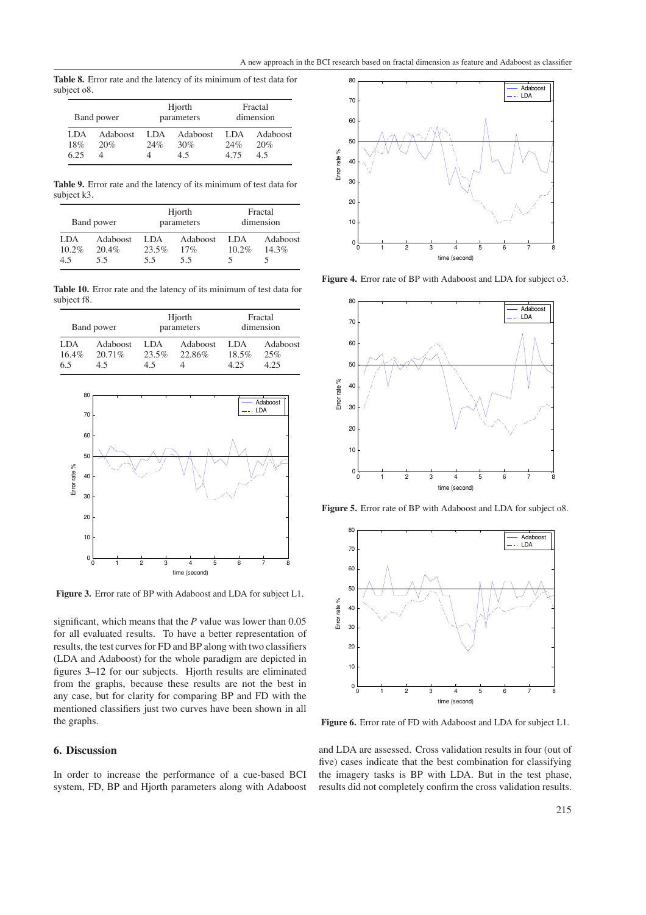**Table 8.** Error rate and the latency of its minimum of test data for subject o8.

| Band power          |                 | Hjorth<br>parameters |                        | Fractal<br>dimension |                        |
|---------------------|-----------------|----------------------|------------------------|----------------------|------------------------|
| LDA.<br>18%<br>6.25 | Adaboost<br>20% | LDA.<br>24%          | Adaboost<br>30%<br>4.5 | LDA<br>24%<br>4.75   | Adaboost<br>20%<br>4.5 |

**Table 9.** Error rate and the latency of its minimum of test data for subject k3.

| Band power              |                          | Hjorth<br>parameters |                        | Fractal<br>dimension |                   |
|-------------------------|--------------------------|----------------------|------------------------|----------------------|-------------------|
| LDA.<br>$10.2\%$<br>4.5 | Adaboost<br>20.4%<br>5.5 | LDA.<br>23.5%<br>5.5 | Adaboost<br>17%<br>5.5 | LDA.<br>10.2%        | Adaboost<br>14.3% |

<span id="page-3-0"></span>**Table 10.** Error rate and the latency of its minimum of test data for subject f8.

| Band power          |                             | Hjorth<br>parameters |                    | Fractal<br>dimension  |                         |
|---------------------|-----------------------------|----------------------|--------------------|-----------------------|-------------------------|
| LDA<br>16.4%<br>6.5 | Adaboost<br>$20.71\%$<br>45 | LDA.<br>23.5%<br>4.5 | Adaboost<br>22.86% | LDA.<br>18.5%<br>4 25 | Adaboost<br>25%<br>4.25 |



<span id="page-3-1"></span>**Figure 3.** Error rate of BP with Adaboost and LDA for subject L1.

significant, which means that the *P* value was lower than 0.05 for all evaluated results. To have a better representation of results, the test curves for FD and BP along with two classifiers (LDA and Adaboost) for the whole paradigm are depicted in figures [3](#page-3-1)[–12](#page-4-0) for our subjects. Hjorth results are eliminated from the graphs, because these results are not the best in any case, but for clarity for comparing BP and FD with the mentioned classifiers just two curves have been shown in all the graphs.

## **6. Discussion**

In order to increase the performance of a cue-based BCI system, FD, BP and Hjorth parameters along with Adaboost



**Figure 4.** Error rate of BP with Adaboost and LDA for subject o3.



**Figure 5.** Error rate of BP with Adaboost and LDA for subject o8.



**Figure 6.** Error rate of FD with Adaboost and LDA for subject L1.

and LDA are assessed. Cross validation results in four (out of five) cases indicate that the best combination for classifying the imagery tasks is BP with LDA. But in the test phase, results did not completely confirm the cross validation results.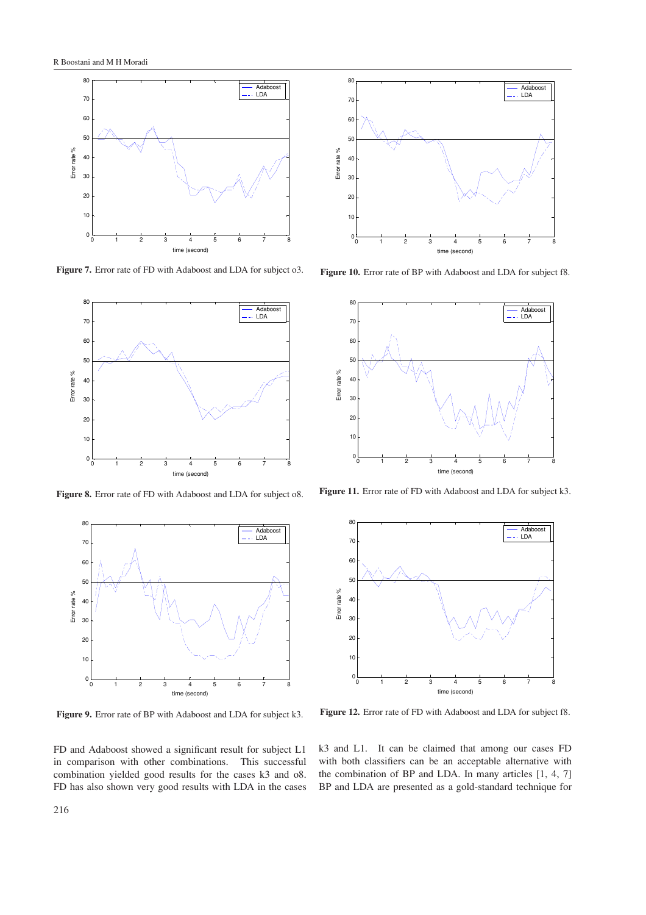

**Figure 7.** Error rate of FD with Adaboost and LDA for subject o3.



**Figure 8.** Error rate of FD with Adaboost and LDA for subject o8.



**Figure 9.** Error rate of BP with Adaboost and LDA for subject k3.

FD and Adaboost showed a significant result for subject L1 in comparison with other combinations. This successful combination yielded good results for the cases k3 and o8. FD has also shown very good results with LDA in the cases



**Figure 10.** Error rate of BP with Adaboost and LDA for subject f8.



**Figure 11.** Error rate of FD with Adaboost and LDA for subject k3.



<span id="page-4-0"></span>**Figure 12.** Error rate of FD with Adaboost and LDA for subject f8.

k3 and L1. It can be claimed that among our cases FD with both classifiers can be an acceptable alternative with the combination of BP and LDA. In many articles [1, 4, 7] BP and LDA are presented as a gold-standard technique for